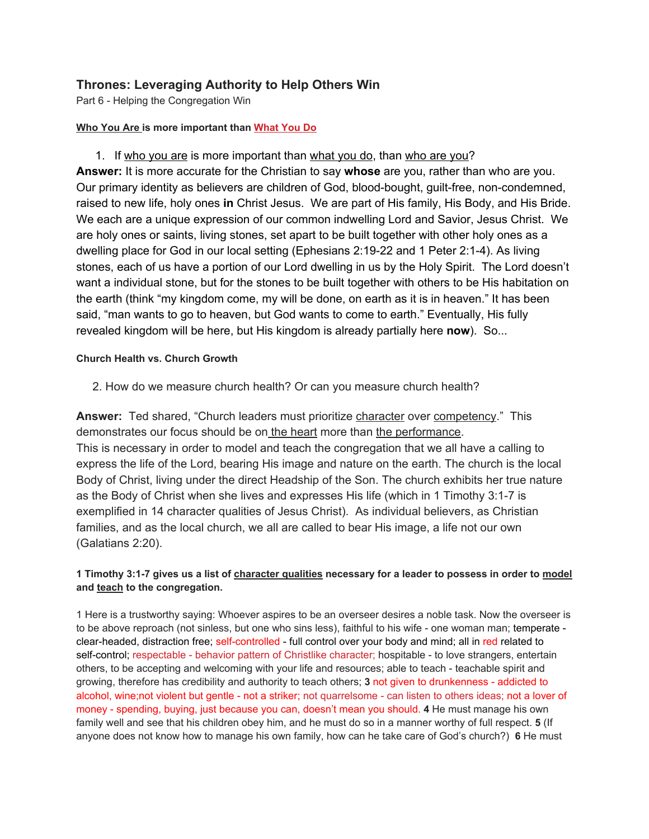## **Thrones: Leveraging Authority to Help Others Win**

Part 6 - Helping the Congregation Win

## **Who You Are is more important than What You Do**

1. If who you are is more important than what you do, than who are you? **Answer:** It is more accurate for the Christian to say **whose** are you, rather than who are you. Our primary identity as believers are children of God, blood-bought, guilt-free, non-condemned, raised to new life, holy ones **in** Christ Jesus. We are part of His family, His Body, and His Bride. We each are a unique expression of our common indwelling Lord and Savior, Jesus Christ. We are holy ones or saints, living stones, set apart to be built together with other holy ones as a dwelling place for God in our local setting (Ephesians 2:19-22 and 1 Peter 2:1-4). As living stones, each of us have a portion of our Lord dwelling in us by the Holy Spirit. The Lord doesn't want a individual stone, but for the stones to be built together with others to be His habitation on the earth (think "my kingdom come, my will be done, on earth as it is in heaven." It has been said, "man wants to go to heaven, but God wants to come to earth." Eventually, His fully revealed kingdom will be here, but His kingdom is already partially here **now**). So...

## **Church Health vs. Church Growth**

2. How do we measure church health? Or can you measure church health?

**Answer:** Ted shared, "Church leaders must prioritize character over competency." This demonstrates our focus should be on the heart more than the performance. This is necessary in order to model and teach the congregation that we all have a calling to express the life of the Lord, bearing His image and nature on the earth. The church is the local Body of Christ, living under the direct Headship of the Son. The church exhibits her true nature as the Body of Christ when she lives and expresses His life (which in 1 Timothy 3:1-7 is exemplified in 14 character qualities of Jesus Christ). As individual believers, as Christian families, and as the local church, we all are called to bear His image, a life not our own (Galatians 2:20).

## **1 Timothy 3:1-7 gives us a list of character qualities necessary for a leader to possess in order to model and teach to the congregation.**

1 Here is a trustworthy saying: Whoever aspires to be an overseer desires a noble task. Now the overseer is to be above reproach (not sinless, but one who sins less), faithful to his wife - one woman man; temperate clear-headed, distraction free; self-controlled - full control over your body and mind; all in red related to self-control; respectable - behavior pattern of Christlike character; hospitable - to love strangers, entertain others, to be accepting and welcoming with your life and resources; able to teach - teachable spirit and growing, therefore has credibility and authority to teach others; **3** not given to drunkenness - addicted to alcohol, wine;not violent but gentle - not a striker; not quarrelsome - can listen to others ideas; not a lover of money - spending, buying, just because you can, doesn't mean you should. **4** He must manage his own family well and see that his children obey him, and he must do so in a manner worthy of full respect. **5** (If anyone does not know how to manage his own family, how can he take care of God's church?) **6** He must